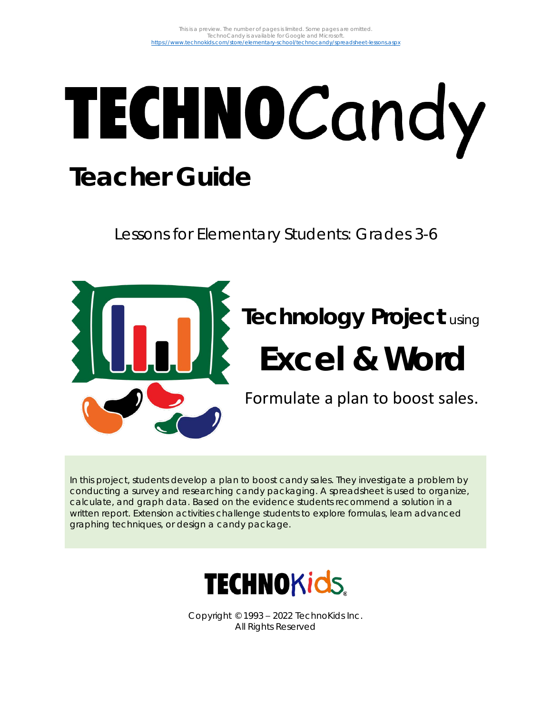# TECHNOCandy **Teacher Guide**

Lessons for Elementary Students: Grades 3-6



## **Technology Project** using **Excel & Word**

Formulate a plan to boost sales.

In this project, students develop a plan to boost candy sales. They investigate a problem by conducting a survey and researching candy packaging. A spreadsheet is used to organize, calculate, and graph data. Based on the evidence students recommend a solution in a written report. Extension activities challenge students to explore formulas, learn advanced graphing techniques, or design a candy package.



Copyright © 1993 – 2022 TechnoKids Inc. All Rights Reserved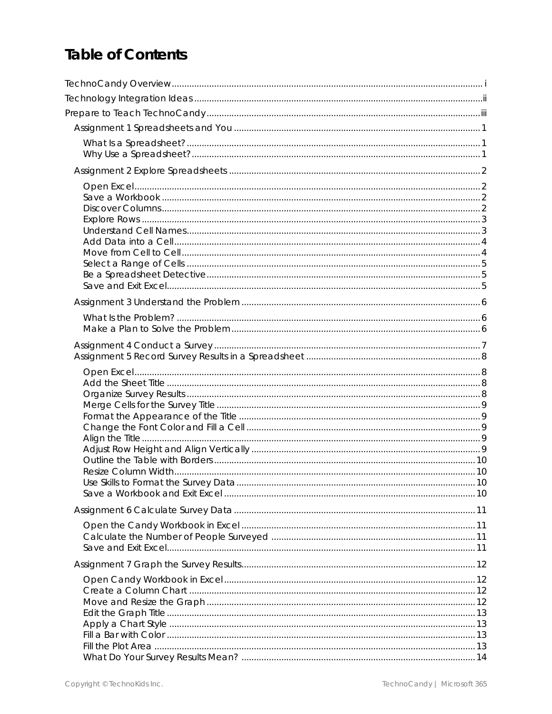## Table of Contents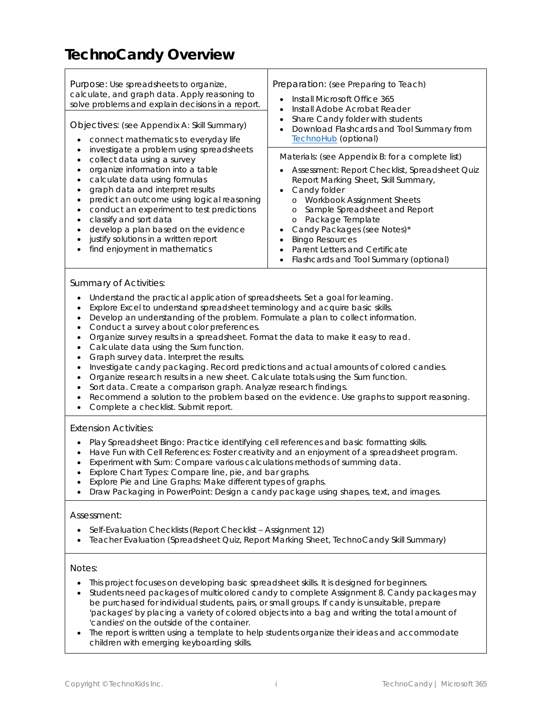## **TechnoCandy Overview**

| Purpose: Use spreadsheets to organize,<br>calculate, and graph data. Apply reasoning to<br>solve problems and explain decisions in a report.<br>Objectives: (see Appendix A: Skill Summary)<br>connect mathematics to everyday life                                                                                                                                                                                      | Preparation: (see Preparing to Teach)<br>Install Microsoft Office 365<br>Install Adobe Acrobat Reader<br>Share Candy folder with students<br>Download Flashcards and Tool Summary from<br>$\bullet$<br><b>TechnoHub</b> (optional)                                                                                                                                                                                          |
|--------------------------------------------------------------------------------------------------------------------------------------------------------------------------------------------------------------------------------------------------------------------------------------------------------------------------------------------------------------------------------------------------------------------------|-----------------------------------------------------------------------------------------------------------------------------------------------------------------------------------------------------------------------------------------------------------------------------------------------------------------------------------------------------------------------------------------------------------------------------|
| investigate a problem using spreadsheets<br>collect data using a survey<br>organize information into a table<br>calculate data using formulas<br>graph data and interpret results<br>predict an outcome using logical reasoning<br>conduct an experiment to test predictions<br>classify and sort data<br>develop a plan based on the evidence<br>justify solutions in a written report<br>find enjoyment in mathematics | Materials: (see Appendix B: for a complete list)<br>Assessment: Report Checklist, Spreadsheet Quiz<br>Report Marking Sheet, Skill Summary,<br>Candy folder<br>٠<br><b>Workbook Assignment Sheets</b><br>$\circ$<br>Sample Spreadsheet and Report<br>$\circ$<br>o Package Template<br>Candy Packages (see Notes)*<br><b>Bingo Resources</b><br>Parent Letters and Certificate<br>Flashcards and Tool Summary (optional)<br>٠ |

#### *Summary of Activities:*

- Understand the practical application of spreadsheets. Set a goal for learning.
- Explore Excel to understand spreadsheet terminology and acquire basic skills.
- Develop an understanding of the problem. Formulate a plan to collect information.
- Conduct a survey about color preferences.
- Organize survey results in a spreadsheet. Format the data to make it easy to read.
- Calculate data using the *Sum* function.
- Graph survey data. Interpret the results.
- Investigate candy packaging. Record predictions and actual amounts of colored candies.
- Organize research results in a new sheet. Calculate totals using the *Sum* function.
- Sort data. Create a comparison graph. Analyze research findings.
- Recommend a solution to the problem based on the evidence. Use graphs to support reasoning.
- Complete a checklist. Submit report.

#### *Extension Activities:*

- Play Spreadsheet Bingo: Practice identifying cell references and basic formatting skills.
- Have Fun with Cell References: Foster creativity and an enjoyment of a spreadsheet program.
- Experiment with Sum: Compare various calculations methods of summing data.
- Explore Chart Types: Compare line, pie, and bar graphs.
- Explore Pie and Line Graphs: Make different types of graphs.
- Draw Packaging in PowerPoint: Design a candy package using shapes, text, and images.

#### *Assessment:*

- Self-Evaluation Checklists (Report Checklist Assignment 12)
- Teacher Evaluation (Spreadsheet Quiz, Report Marking Sheet, TechnoCandy Skill Summary)

#### *Notes:*

- This project focuses on developing basic spreadsheet skills. It is designed for beginners.
- Students need packages of multicolored candy to complete Assignment 8. Candy packages may be purchased for individual students, pairs, or small groups. If candy is unsuitable, prepare 'packages' by placing a variety of colored objects into a bag and writing the total amount of 'candies' on the outside of the container.
- The report is written using a template to help students organize their ideas and accommodate children with emerging keyboarding skills.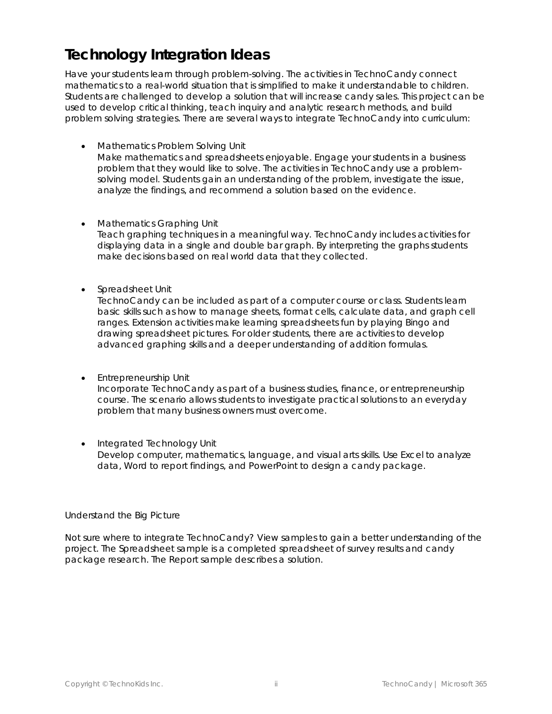## **Technology Integration Ideas**

Have your students learn through problem-solving. The activities in TechnoCandy connect mathematics to a real-world situation that is simplified to make it understandable to children. Students are challenged to develop a solution that will increase candy sales. This project can be used to develop critical thinking, teach inquiry and analytic research methods, and build problem solving strategies. There are several ways to integrate TechnoCandy into curriculum:

- *Mathematics Problem Solving Unit* Make mathematics and spreadsheets enjoyable. Engage your students in a business problem that they would like to solve. The activities in TechnoCandy use a problemsolving model. Students gain an understanding of the problem, investigate the issue, analyze the findings, and recommend a solution based on the evidence.
- *Mathematics Graphing Unit* Teach graphing techniques in a meaningful way. TechnoCandy includes activities for displaying data in a single and double bar graph. By interpreting the graphs students make decisions based on real world data that they collected.
- *Spreadsheet Unit*

TechnoCandy can be included as part of a computer course or class. Students learn basic skills such as how to manage sheets, format cells, calculate data, and graph cell ranges. Extension activities make learning spreadsheets fun by playing Bingo and drawing spreadsheet pictures. For older students, there are activities to develop advanced graphing skills and a deeper understanding of addition formulas.

• *Entrepreneurship Unit*

Incorporate TechnoCandy as part of a business studies, finance, or entrepreneurship course. The scenario allows students to investigate practical solutions to an everyday problem that many business owners must overcome.

• *Integrated Technology Unit* Develop computer, mathematics, language, and visual arts skills. Use Excel to analyze data, Word to report findings, and PowerPoint to design a candy package.

#### *Understand the Big Picture*

Not sure where to integrate TechnoCandy? View samples to gain a better understanding of the project. The *Spreadsheet* sample is a completed spreadsheet of survey results and candy package research. The *Report* sample describes a solution.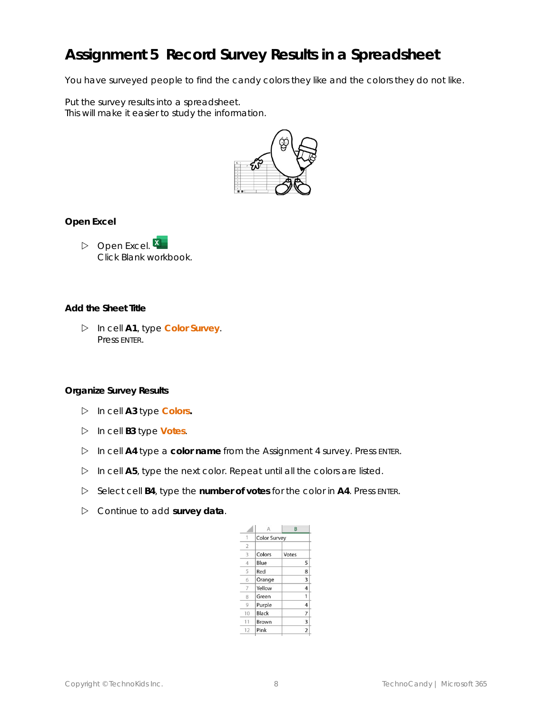## **Assignment 5 Record Survey Results in a Spreadsheet**

You have surveyed people to find the candy colors they like and the colors they do not like.

Put the survey results into a spreadsheet. This will make it easier to study the information.



**Open Excel**

 $\triangleright$  Open Excel.  $\overline{X}$ Click *Blank workbook*.

**Add the Sheet Title**

 In cell **A1**, type **Color Survey**. Press ENTER.

**Organize Survey Results**

- In cell **A3** type **Colors.**
- In cell **B3** type **Votes**.
- In cell **A4** type a **color name** from the Assignment 4 survey. Press ENTER.
- In cell **A5**, type the next color. Repeat until all the colors are listed.
- Select cell **B4**, type the **number of votes** for the color in **A4**. Press ENTER.
- Continue to add **survey data**.

|                | Δ                   | B              |  |  |
|----------------|---------------------|----------------|--|--|
| 1              | <b>Color Survey</b> |                |  |  |
| $\overline{2}$ |                     |                |  |  |
| 3              | Colors              | Votes          |  |  |
| $\overline{4}$ | Blue                | 5              |  |  |
| 5              | Red                 | 8              |  |  |
| 6              | Orange              | 3              |  |  |
|                | Yellow              | 4              |  |  |
| 8              | Green               | 1              |  |  |
| 9              | Purple              | 4              |  |  |
| 10             | Black               | 7              |  |  |
| 11             | Brown               | 3              |  |  |
| 12             | Pink                | $\overline{2}$ |  |  |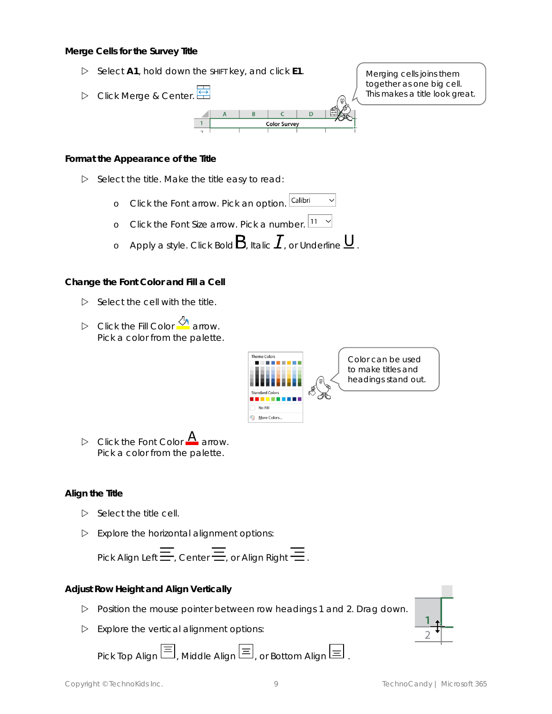**Merge Cells for the Survey Title**

- Select **A1**, hold down the SHIFT key, and click **E1**.
- Click *Merge & Center.*

Merging cells joins them together as one big cell. This makes a title look great.

**Format the Appearance of the Title**

- $\triangleright$  Select the title. Make the title easy to read:
	- Calibri o Click the *Font* arrow. Pick an option.
	- o Click the *Font Size* arrow. Pick a number.
	- o Apply a style. Click Bold  $B$ , Italic  $I$ , or Underline  $\underline{\mathsf{U}}$  .

**Color Survey** 

**Change the Font Color and Fill a Cell**

- $\triangleright$  Select the cell with the title.
- D Click the *Fill Color* **A** arrow. Pick a color from the palette.



Color can be used to make titles and headings stand out.

 $\triangleright$  Click the *Font* Color **A** arrow. Pick a color from the palette.

#### **Align the Title**

- $\triangleright$  Select the title cell.
- $\triangleright$  Explore the horizontal alignment options:

Pick Align Left $\equiv$ , Center $\equiv$ , or Align Right $\equiv$ .

**Adjust Row Height and Align Vertically**

- Position the mouse pointer between row headings 1 and 2. Drag down.
- $\triangleright$  Explore the vertical alignment options:

 $Pick Top$  *Align*  $\Xi$ , *Middle Align*  $\Xi$ , *or Bottom Align*  $\Xi$ .

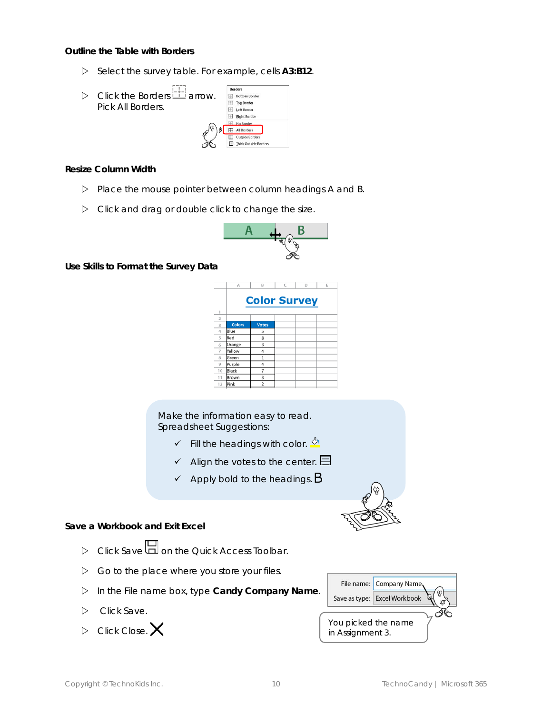**Outline the Table with Borders**

Select the survey table. For example, cells **A3:B12**.



**Resize Column Width**

- $\triangleright$  Place the mouse pointer between column headings A and B.
- $\triangleright$  Click and drag or double click to change the size.



**Use Skills to Format the Survey Data**

|                | A             | B                   | C | D | Ε |
|----------------|---------------|---------------------|---|---|---|
|                |               | <b>Color Survey</b> |   |   |   |
| $\mathbf{1}$   |               |                     |   |   |   |
| $\overline{a}$ |               |                     |   |   |   |
| 3              | <b>Colors</b> | <b>Votes</b>        |   |   |   |
| $\overline{4}$ | Blue          | 5                   |   |   |   |
| 5              | Red           | 8                   |   |   |   |
| 6              | Orange        | 3                   |   |   |   |
| 7              | Yellow        | 4                   |   |   |   |
| 8              | Green         | 1                   |   |   |   |
| $\overline{Q}$ | Purple        | 4                   |   |   |   |
| 10             | Black         | 7                   |   |   |   |
| 11             | Brown         | 3                   |   |   |   |
| 12             | Pink          | $\overline{2}$      |   |   |   |

Make the information easy to read. Spreadsheet Suggestions:

- $\checkmark$  Fill the headings with color.  $\frac{\delta \checkmark}{\delta}$
- $\checkmark$  Align the votes to the center.  $\boxminus$
- $\checkmark$  Apply bold to the headings.  $\mathsf B$



**Save a Workbook and Exit Excel**

- $\triangleright$  Click *Save* **Q** on the Quick Access Toolbar.
- $\triangleright$  Go to the place where you store your files.
- In the File name box, type **Candy Company Name**.
- $\triangleright$  Click Save.
- $\triangleright$  Click Close.  $\times$

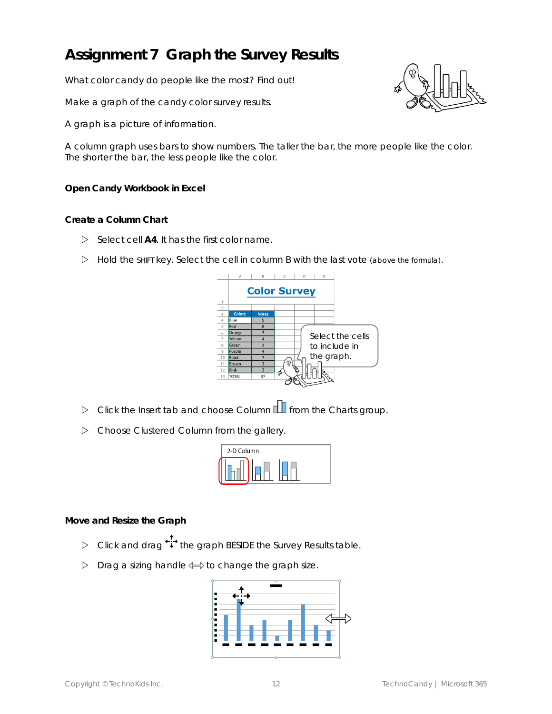## **Assignment 7 Graph the Survey Results**

What color candy do people like the most? Find out!

Make a graph of the candy color survey results.

A graph is a picture of information.

A column graph uses bars to show numbers. The taller the bar, the more people like the color. The shorter the bar, the less people like the color.

**Open Candy Workbook in Excel**

**Create a Column Chart**

- Select cell **A4**. It has the *first color name*.
- $\triangleright$  Hold the SHIFT key. Select the cell in column B with the last vote (above the formula).



- **▷** Click the Insert tab and choose *Column* **foll** from the *Charts* group.
- Choose *Clustered Column* from the gallery.

| 2-D Column |  |  |
|------------|--|--|
|            |  |  |

**Move and Resize the Graph**

- Click and drag the graph BESIDE the *Survey Results* table.
- $\triangleright$  Drag a sizing handle  $\Longleftrightarrow$  to change the graph size.



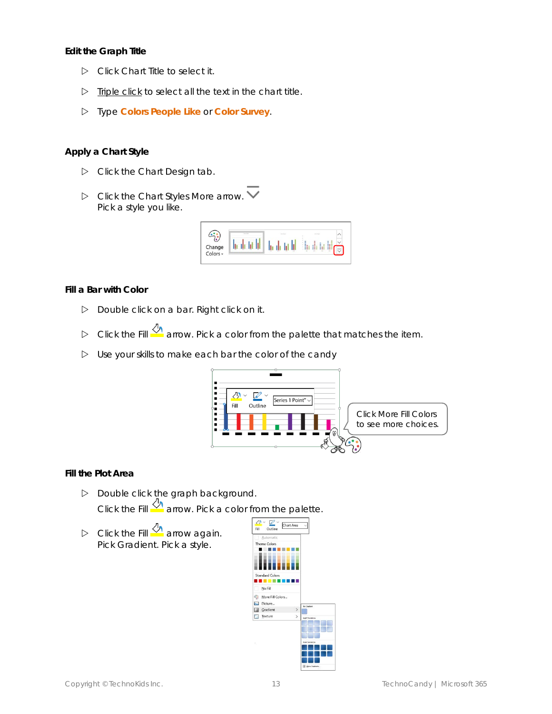**Edit the Graph Title**

- Click *Chart Title* to select it.
- $\triangleright$  Triple click to select all the text in the chart title.
- Type **Colors People Like** or **Color Survey**.

#### **Apply a Chart Style**

- $\triangleright$  Click the Chart Design tab.
- Click the Chart Styles *More* arrow. Pick a style you like.



**Fill a Bar with Color**

- $\triangleright$  Double click on a bar. Right click on it.
- Click the *Fill* arrow. Pick a color from the palette that matches the item.
- $\triangleright$  Use your skills to make each bar the color of the candy



**Fill the Plot Area**

- Double click the graph background. Click the *Fill* arrow. Pick a color from the palette.
- D Click the *Fill* 4 arrow again. Pick *Gradient*. Pick a style.

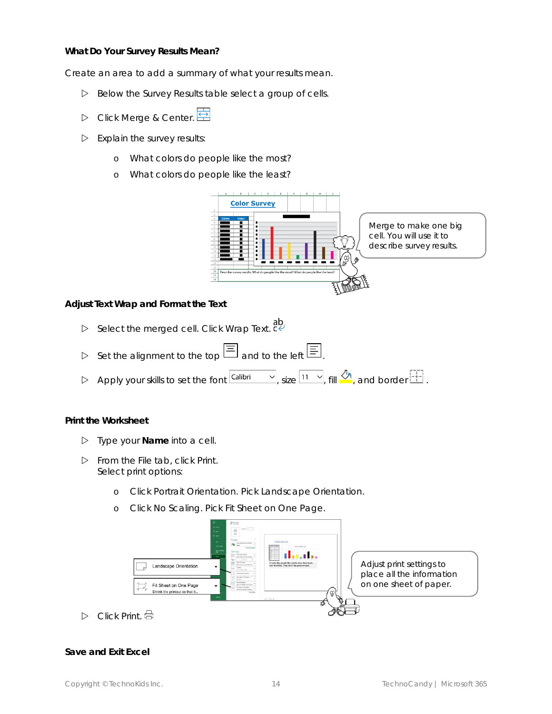**What Do Your Survey Results Mean?**

Create an area to add a summary of what your results mean.

- Below the *Survey Results* table select a group of cells.
- Click *Merge & Center.*
- $\triangleright$  Explain the survey results:
	- o What colors do people like the most?
	- o What colors do people like the least?



**Adjust Text Wrap and Format the Text**

- Select the merged cell. Click *Wrap Text*.
- Set the alignment to the top  $\Xi$  and to the left  $\Xi$
- Apply your skills to set the font  $\boxed{\text{Calibi} \quad \sim}$ , size  $\boxed{11 \quad \sim}$ , fill  $\frac{\text{Ch}}{\text{Ch}}$ , and border  $\boxed{11}$ .

**Print the Worksheet**

- Type your **Name** into a cell.
- From the File tab, click *Print*. Select print options:
	- o Click *Portrait Orientation.* Pick *Landscape Orientation*.
	- o Click *No Scaling*. Pick *Fit Sheet on One Page*.



Click *Print*.

#### **Save and Exit Excel**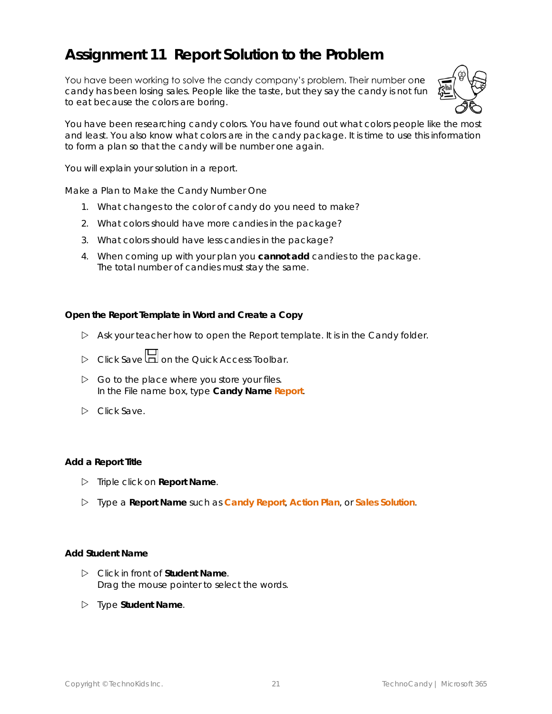## **Assignment 11 Report Solution to the Problem**

You have been working to solve the candy company's problem. Their number one candy has been losing sales. People like the taste, but they say the candy is not fun to eat because the colors are boring.



You have been researching candy colors. You have found out what colors people like the most and least. You also know what colors are in the candy package. It is time to use this information to form a plan so that the candy will be number one again.

You will explain your solution in a report.

*Make a Plan to Make the Candy Number One*

- 1. What changes to the color of candy do you need to make?
- 2. What colors should have more candies in the package?
- 3. What colors should have less candies in the package?
- 4. When coming up with your plan you **cannot add** candies to the package. The total number of candies must stay the same.

**Open the Report Template in Word and Create a Copy**

- Ask your teacher how to open the *Report* template. It is in the *Candy* folder.
- Click *Save* on the Quick Access Toolbar.
- $\triangleright$  Go to the place where you store your files. In the File name box, type **Candy Name Report**.
- Click *Save*.

#### **Add a Report Title**

- Triple click on **Report Name**.
- Type a **Report Name** such as **Candy Report**, **Action Plan**, or **Sales Solution**.

#### **Add Student Name**

- Click in front of **Student Name**. Drag the mouse pointer to select the words.
- Type **Student Name**.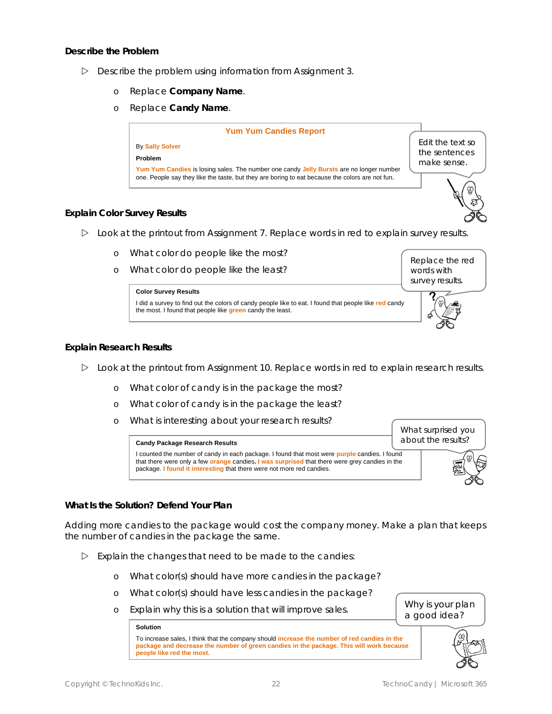**Describe the Problem**

- $\triangleright$  Describe the problem using information from Assignment 3.
	- o Replace **Company Name**.
	- o Replace **Candy Name**.



#### **Explain Color Survey Results**

- $\triangleright$  Look at the printout from Assignment 7. Replace words in red to explain survey results.
	- o What color do people like the most?
	- o What color do people like the least?



#### **Explain Research Results**

- $\triangleright$  Look at the printout from Assignment 10. Replace words in red to explain research results.
	- o What color of candy is in the package the most?
	- o What color of candy is in the package the least?
	- o What is interesting about your research results?

**Candy Package Research Results**

What surprised you about the results?

I counted the number of candy in each package. I found that most were **purple** candies. I found that there were only a few **orange** candies**. I was surprised** that there were grey candies in the package. **I found it interesting** that there were not more red candies.



Replace the red words with survey results.

**What Is the Solution? Defend Your Plan**

Adding more candies to the package would cost the company money. Make a plan that keeps the number of candies in the package the same.

- $\triangleright$  Explain the changes that need to be made to the candies:
	- o What color(s) should have more candies in the package?
	- o What color(s) should have less candies in the package?
	- o Explain why this is a solution that will improve sales.

#### **Solution**

To increase sales, I think that the company should **increase the number of red candies in the package and decrease the number of green candies in the package. This will work because people like red the most.**



Why is your plan a good idea?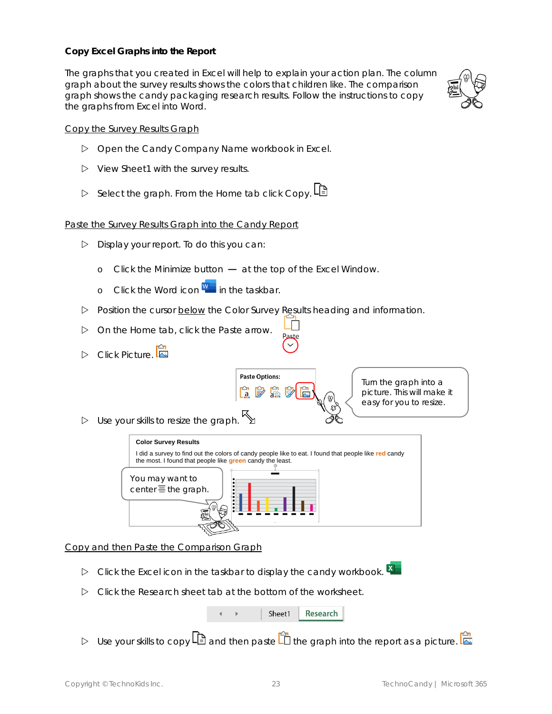#### **Copy Excel Graphs into the Report**

The graphs that you created in Excel will help to explain your action plan. The column graph about the survey results shows the colors that children like. The comparison graph shows the candy packaging research results. Follow the instructions to copy the graphs from Excel into Word.



#### Copy the Survey Results Graph

- Open the *Candy Company Name* workbook in Excel.
- View *Sheet1* with the survey results.
- Select the graph. From the Home tab click *Copy*.

#### Paste the Survey Results Graph into the Candy Report

- $\triangleright$  Display your report. To do this you can:
	- o Click the *Minimize* button  $-$  at the top of the Excel Window.
	- o Click the Word icon  $\frac{W}{I}$  in the taskbar.
- Position the cursor below the *Color Survey Results* heading and information.
- On the Home tab, click the *Paste* arrow.
- **D** Click Picture.



Paste

Turn the graph into a picture. This will make it easy for you to resize.

 $\triangleright$  Use your skills to resize the graph.



Copy and then Paste the Comparison Graph

- $\triangleright$  Click the Excel icon in the taskbar to display the candy workbook.
- Click the *Research* sheet tab at the bottom of the worksheet.

|  | Sheet1 | Research |
|--|--------|----------|
|--|--------|----------|

 $\triangleright$  Use your skills to copy  $\Box$  and then paste  $\Box$  the graph into the report as a picture.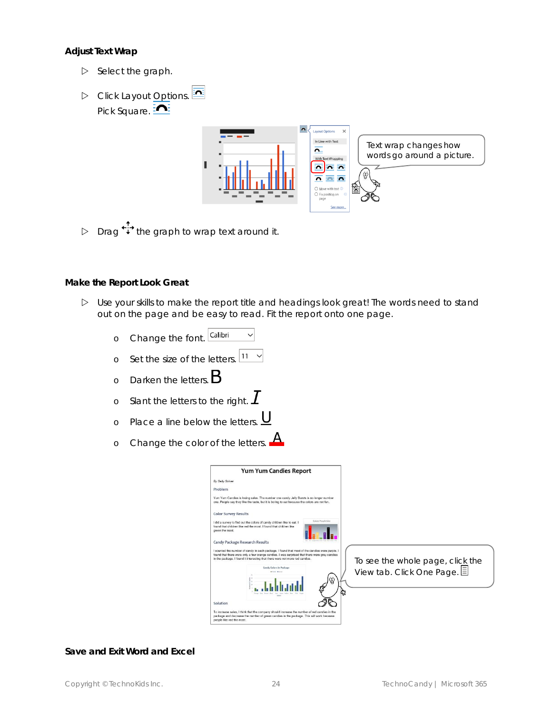**Adjust Text Wrap**

- $\triangleright$  Select the graph.
- Click *Layout Options*. Pick Square. **ME**



Drag  $\overleftrightarrow{\cdot}$  the graph to wrap text around it.

#### **Make the Report Look Great**

- Use your skills to make the report title and headings look great! The words need to stand out on the page and be easy to read. Fit the report onto one page.
	- o Change the font. Calibri  $\checkmark$
	- o Set the size of the letters.  $\boxed{11 8}$
	- o Darken the letters.  $B$
	- o Slant the letters to the right.  $\boldsymbol{I}$
	- o Place a line below the letters.  $U$ </u>
	- <u>д</u> o Change the color of the letters.



To see the whole page, click the View tab. Click *One Page.*

#### **Save and Exit Word and Excel**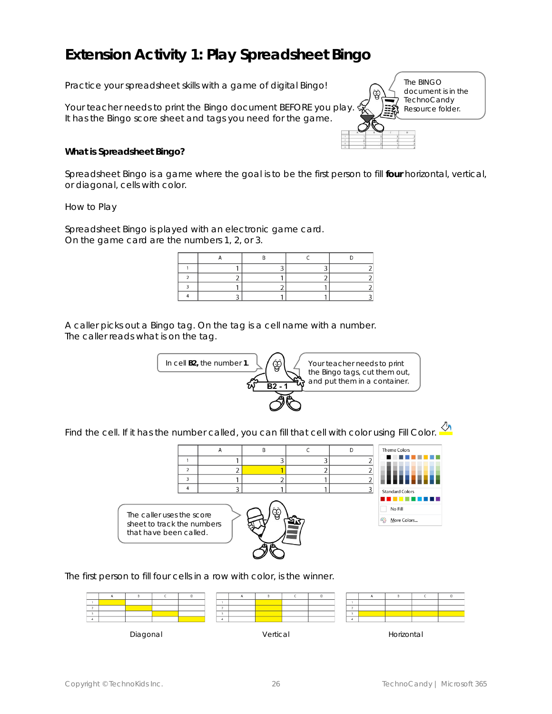## **Extension Activity 1: Play Spreadsheet Bingo**

Practice your spreadsheet skills with a game of digital Bingo!

Your teacher needs to print the *Bingo* document BEFORE you play. It has the Bingo score sheet and tags you need for the game.

The BINGO document is in the **TechnoCandy** Resource folder.

**What is Spreadsheet Bingo?** 

Spreadsheet Bingo is a game where the goal is to be the first person to fill **four** horizontal, vertical, or diagonal, cells with color.

*How to Play*

Spreadsheet Bingo is played with an electronic game card. On the game card are the numbers 1, 2, or 3.

A caller picks out a Bingo tag. On the tag is a cell name with a number. The caller reads what is on the tag.



Find the cell. If it has the number called, you can fill that cell with color using *Fill Color*.



The first person to fill four cells in a row with color, is the winner.

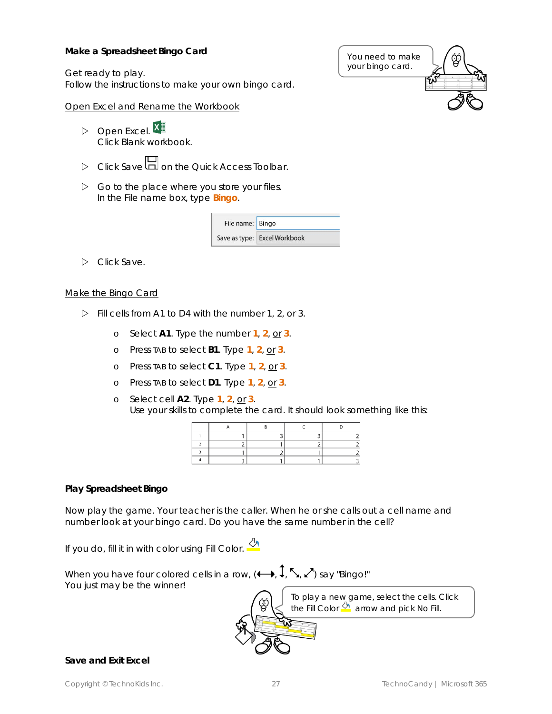**Make a Spreadsheet Bingo Card**

Get ready to play. Follow the instructions to make your own bingo card.

#### Open Excel and Rename the Workbook

 $\triangleright$  Open Excel.  $X \equiv$ Click *Blank workbook.*

- **D** Click Save **I** on the Quick Access Toolbar.
- $\triangleright$  Go to the place where you store your files. In the File name box, type **Bingo**.

| File name: Bingo |                              |  |
|------------------|------------------------------|--|
|                  | Save as type: Excel Workbook |  |

Click *Save*.

#### Make the Bingo Card

- $\triangleright$  Fill cells from A1 to D4 with the number 1, 2, or 3.
	- o Select **A1**. Type the number **1**, **2**, or **3**.
	- o Press TAB to select **B1**. Type **1**, **2**, or **3**.
	- o Press TAB to select **C1**. Type **1**, **2**, or **3**.
	- o Press TAB to select **D1**. Type **1**, **2**, or **3**.
	- o Select cell **A2**. Type **1**, **2**, or **3**. Use your skills to complete the card. It should look something like this:

#### **Play Spreadsheet Bingo**

Now play the game. Your teacher is the caller. When he or she calls out a cell name and number look at your bingo card. Do you have the same number in the cell?

If you do, fill it in with color using *Fill Color*.



**Save and Exit Excel**

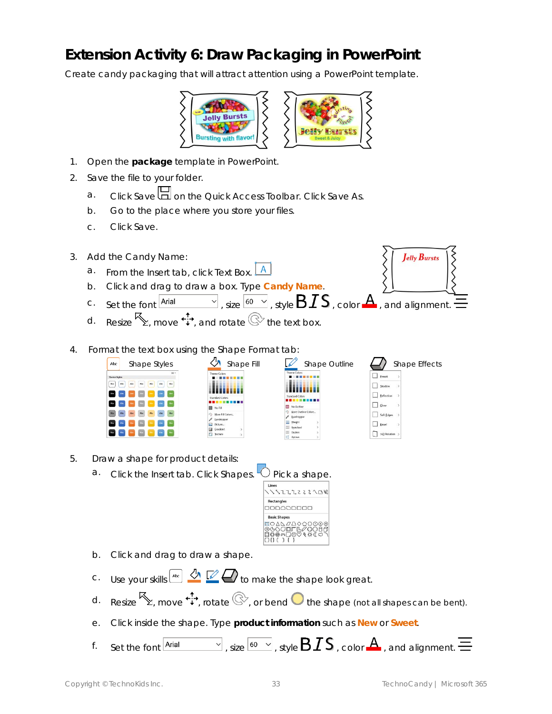## **Extension Activity 6: Draw Packaging in PowerPoint**

Create candy packaging that will attract attention using a PowerPoint template.



- 1. Open the *package* template in PowerPoint.
- 2. Save the file to your folder.
	- a. Click Save **do** on the Quick Access Toolbar. Click Save As.
	- b. Go to the place where you store your files.
	- c. Click *Save*.
- 3. Add the Candy Name: Jelly Bursts a. From the Insert tab, click *Text Box*. b. Click and drag to draw a box. Type **Candy Name**. c. Set the font  $\boxed{\frac{\text{Arial}}{\text{A} \cdot \text{s} \cdot \text{s} \cdot \text{A}}$ , size  $\boxed{60 \text{ V}}$ , style  $\text{B} \cdot \text{I} \cdot \text{S}$ , color  $\text{A}$ , and alignment. d. Resize  $\mathbb{S}$ , move  $\ddot{\ddot{\cdot}}$ , and rotate  $\mathbb{C}^{\geq}$  the text box.
- 4. Format the text box using the Shape F



| omat tap: |                        |                     |
|-----------|------------------------|---------------------|
| Fill      |                        | Shape               |
|           | <b>Theme Colors</b>    |                     |
|           |                        |                     |
|           | <b>Standard Colors</b> |                     |
|           | No Outline             |                     |
|           |                        | More Outline Colors |
|           | Evedropper             |                     |
|           | Weight                 | $\rightarrow$       |
|           | 蕊<br>Sketched          | $\mathbf{r}$        |
|           | Dashes<br>æ            | $\rightarrow$       |
|           | 료<br>Arrows            | S                   |
|           |                        |                     |

Shade  $\Box$  Reflex  $\Box$  Glow Soft Edge **Bevel** 

3-D Rotation

- 5. Draw a shape for product details:
	- a. Click the Insert tab. Click Shapes.  $\cup$  Pick a shape.



- b. Click and drag to draw a shape.
- C. Use your skills  $\frac{d}{dx}$   $\mathbb{Z}$   $\rightarrow$  to make the shape look great.
- d. Resize  $\mathbb{S}$ , move  $\ddot{\cdot}$ , rotate  $\mathbb{C}$ , or bend  $\bullet$  the shape (not all shapes can be bent).
- e. Click inside the shape. Type **product information** such as **New** or **Sweet**.
- f. Set the font  $\overline{\text{A}^{\text{rial}}}$  , size  $\overline{\text{60}}$   $\vee$  , style  $\text{BIS}$  , color  $\text{A}$  , and alignment.  $\equiv$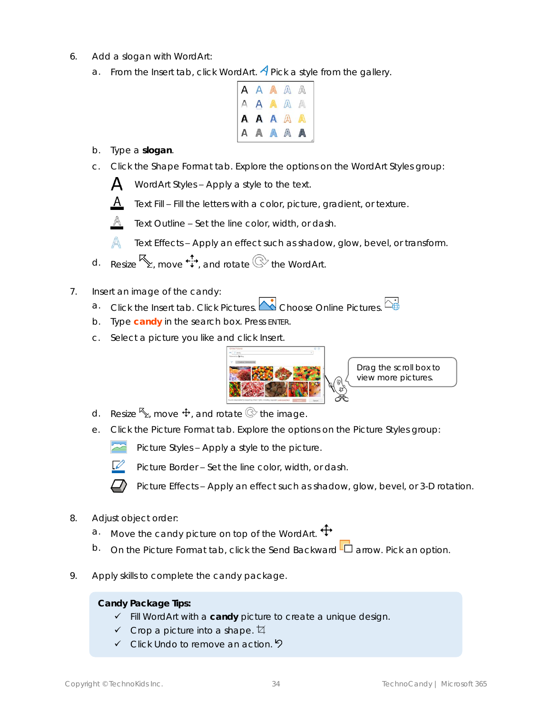- 6. Add a slogan with WordArt:
	- a. From the *Insert* tab, click *WordArt*. **A** Pick a style from the gallery.

| AAAAA<br>AAAAA         |  |  |
|------------------------|--|--|
|                        |  |  |
|                        |  |  |
| A A A A A<br>A A A A A |  |  |

- b. Type a **slogan**.
- c. Click the Shape Format tab. Explore the options on the WordArt Styles group:

 $\mathbf{A}$ *WordArt Styles* – Apply a style to the text.



*Text Fill* – Fill the letters with a color, picture, gradient, or texture.

*Text Outline* – Set the line color, width, or dash.

A *Text Effects* – Apply an effect such as shadow, glow, bevel, or transform.

- d. Resize  $\mathbb{S}$  move  $\ddot{\cdot}$  and rotate  $\mathbb{C}$  the WordArt.
- 7. Insert an image of the candy:
	- a. Click the *Insert* tab. Click *Pictures*. Choose *Online Pictures*.  $\overline{C_{\oplus}^{\bullet}}$
	- b. Type **candy** in the search box. Press ENTER.
	- c. Select a picture you like and click *Insert*.



- d. Resize  $\mathcal{F}_1$ , move  $\mathbf{\hat{F}}$ , and rotate  $\mathbb{Q}$  the image.
- e. Click the Picture Format tab. Explore the options on the Picture Styles group:

**Picture Styles – Apply a style to the picture.** 



*Picture Border* – Set the line color, width, or dash.

*Picture Effects* – Apply an effect such as shadow, glow, bevel, or 3-D rotation.

- 8. Adjust object order:
	- a. Move the candy picture on top of the WordArt.  $\mathbf{\ddot{t}}$
	- b. On the Picture Format tab, click the Send Backward  **Q** arrow. Pick an option.
- 9. Apply skills to complete the candy package.

**Candy Package Tips:**

- ✓ Fill WordArt with a **candy** picture to create a unique design.
- $\checkmark$  Crop a picture into a shape.  $\sharp$
- $\checkmark$  Click Undo to remove an action.  $\checkmark$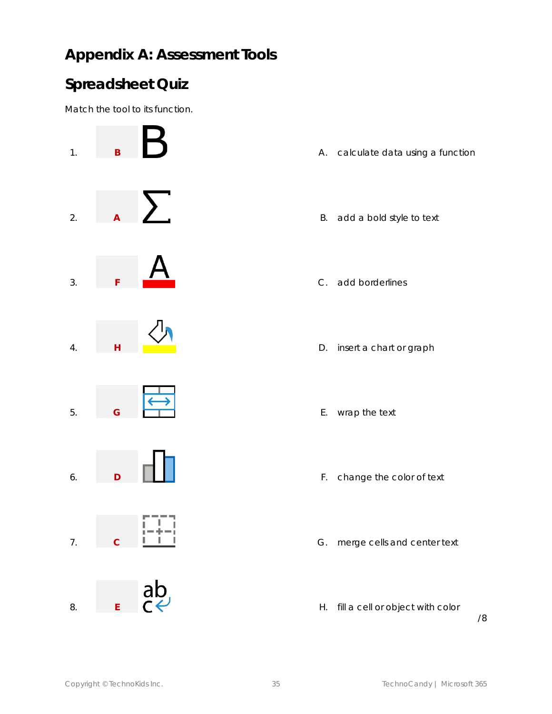## **Appendix A: Assessment Tools**

### **Spreadsheet Quiz**

Match the tool to its function.



- 
- 
- 
- 
- 
- 
- 
- 

/8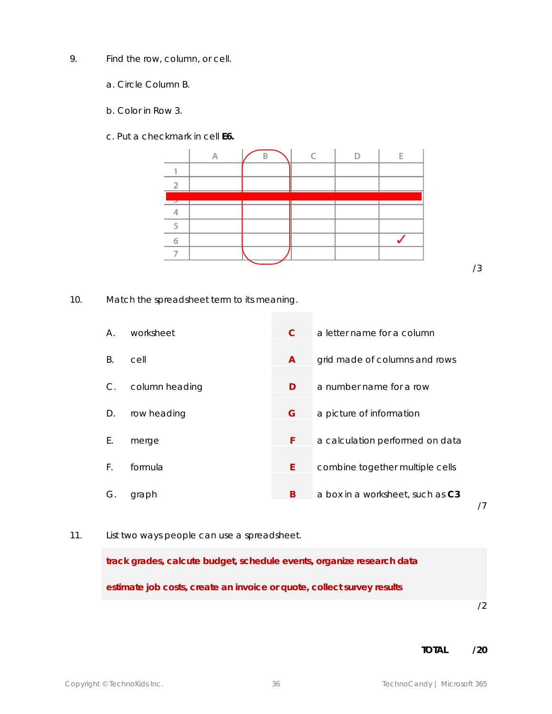- 9. Find the row, column, or cell.
	- a. Circle *Column B.*
	- b. Color in *Row 3*.
	- c. Put a checkmark in cell **E6.**



/3

10. Match the spreadsheet term to its meaning.

| Α. | worksheet      |              | a letter name for a column       |
|----|----------------|--------------|----------------------------------|
| B. | cell           | $\mathsf{A}$ | grid made of columns and rows    |
| C. | column heading | D            | a number name for a row          |
| D. | row heading    | G            | a picture of information         |
| Е. | merge          | F            | a calculation performed on data  |
| F. | formula        | F            | combine together multiple cells  |
| G. | graph          | B            | a box in a worksheet, such as C3 |

/7

#### 11. List two ways people can use a spreadsheet.

**track grades, calcute budget, schedule events, organize research data estimate job costs, create an invoice or quote, collect survey results**

/2

**TOTAL /20**